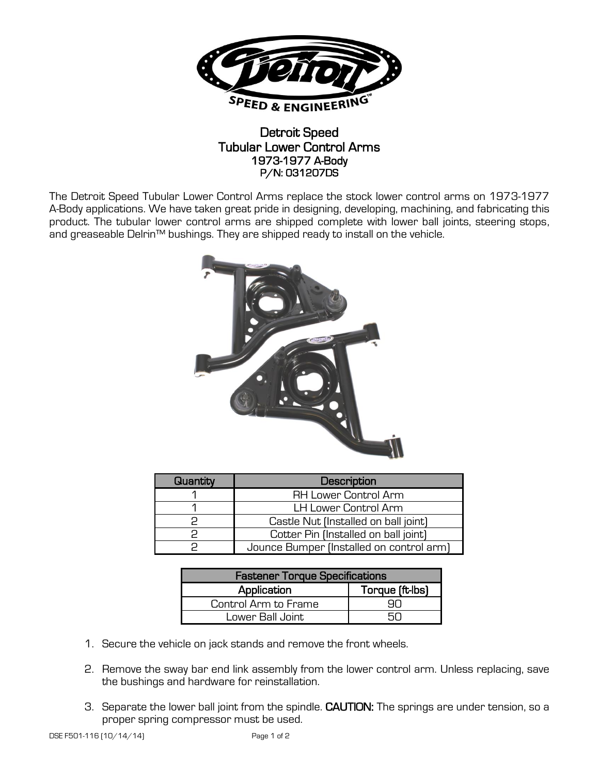

## Detroit Speed Tubular Lower Control Arms 1973-1977 A-Body P/N: 031207DS

The Detroit Speed Tubular Lower Control Arms replace the stock lower control arms on 1973-1977 A-Body applications. We have taken great pride in designing, developing, machining, and fabricating this product. The tubular lower control arms are shipped complete with lower ball joints, steering stops, and greaseable Delrin™ bushings. They are shipped ready to install on the vehicle.



| Quantity | Description                              |
|----------|------------------------------------------|
|          | <b>RH Lower Control Arm</b>              |
|          | LH Lower Control Arm                     |
|          | Castle Nut (Installed on ball joint)     |
|          | Cotter Pin (Installed on ball joint)     |
|          | Jounce Bumper (Installed on control arm) |

| <b>Fastener Torque Specifications</b> |                 |  |
|---------------------------------------|-----------------|--|
| Application                           | Torque (ft-lbs) |  |
| Control Arm to Frame                  |                 |  |
| Lower Ball Joint                      |                 |  |

- 1. Secure the vehicle on jack stands and remove the front wheels.
- 2. Remove the sway bar end link assembly from the lower control arm. Unless replacing, save the bushings and hardware for reinstallation.
- 3. Separate the lower ball joint from the spindle. CAUTION: The springs are under tension, so a proper spring compressor must be used.